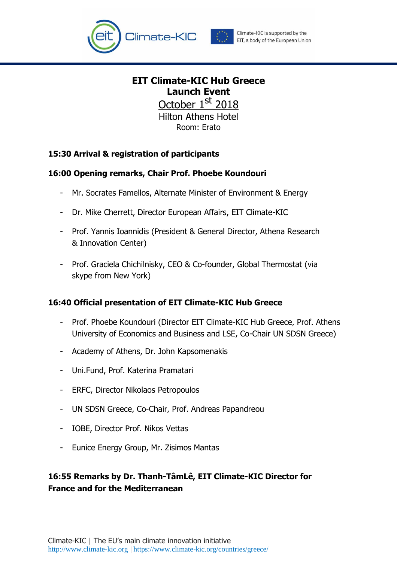



Climate-KIC is supported by the EIT, a body of the European Union

# **EIT Climate-KIC Hub Greece Launch Event**

October 1st 2018 Hilton Athens Hotel Room: Erato

### **15:30 Arrival & registration of participants**

### **16:00 Opening remarks, Chair Prof. Phoebe Koundouri**

- Mr. Socrates Famellos, Alternate Minister of Environment & Energy
- Dr. Mike Cherrett, Director European Affairs, EIT Climate-KIC
- Prof. Yannis Ioannidis (President & General Director, Athena Research & Innovation Center)
- Prof. Graciela Chichilnisky, CEO & Co-founder, Global Thermostat (via skype from New York)

#### **16:40 Official presentation of EIT Climate-KIC Hub Greece**

- Prof. Phoebe Koundouri (Director EIT Climate-KIC Hub Greece, Prof. Athens University of Economics and Business and LSE, Co-Chair UN SDSN Greece)
- Academy of Athens, Dr. John Kapsomenakis
- Uni.Fund, Prof. Katerina Pramatari
- ERFC, Director Nikolaos Petropoulos
- UN SDSN Greece, Co-Chair, Prof. Andreas Papandreou
- IOBE, Director Prof. Nikos Vettas
- Eunice Energy Group, Mr. Zisimos Mantas

# **16:55 Remarks by Dr. Thanh-TâmLê, EIT Climate-KIC Director for France and for the Mediterranean**